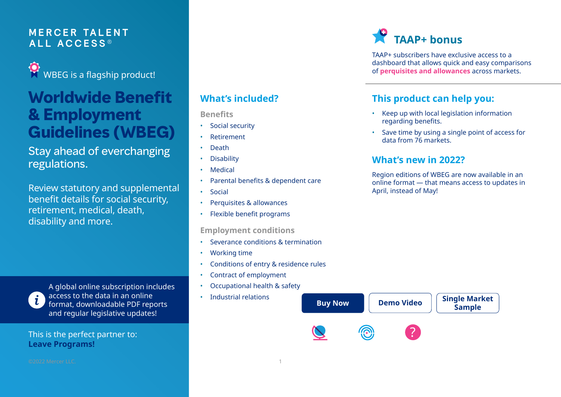### **M E RCER TA L E N T ALL A C C E S S ®**

WBEG is a flagship product!

### **Worldwide Benefit & Employment Guidelines (WBEG)**

### Stay ahead of everchanging regulations.

Review statutory and supplemental benefit details for social security, retirement, medical, death, disability and more.

A global online subscription includes access to the data in an online format, downloadable PDF reports and regular legislative updates!

This is the perfect partner to: **[Leave Programs!](https://taap.mercer.com/Portals/0/content/Resource/leave-brochure.pdf)**

### **What's included?**

**Benefits**

- Social security
- Retirement
- Death
- **Disability**
- **Medical**
- Parental benefits & dependent care
- **Social**
- Perquisites & allowances
- Flexible benefit programs

#### **Employment conditions**

- Severance conditions & termination
- Working time
- Conditions of entry & residence rules
- Contract of employment
- Occupational health & safety
- Industrial relations

## **TAAP+ bonus**

TAAP+ subscribers have exclusive access to a dashboard that allows quick and easy comparisons of **[perquisites and allowances](https://taap.mercer.com/Portals/0/content/Resource/GIF/calc-wbeg-perq.gif)** across markets.

### **This product can help you:**

- Keep up with local legislation information regarding benefits.
- Save time by using a single point of access for data from 76 markets.

### **What's new in 2022?**

Region editions of WBEG are now available in an online format — that means access to updates in April, instead of May!